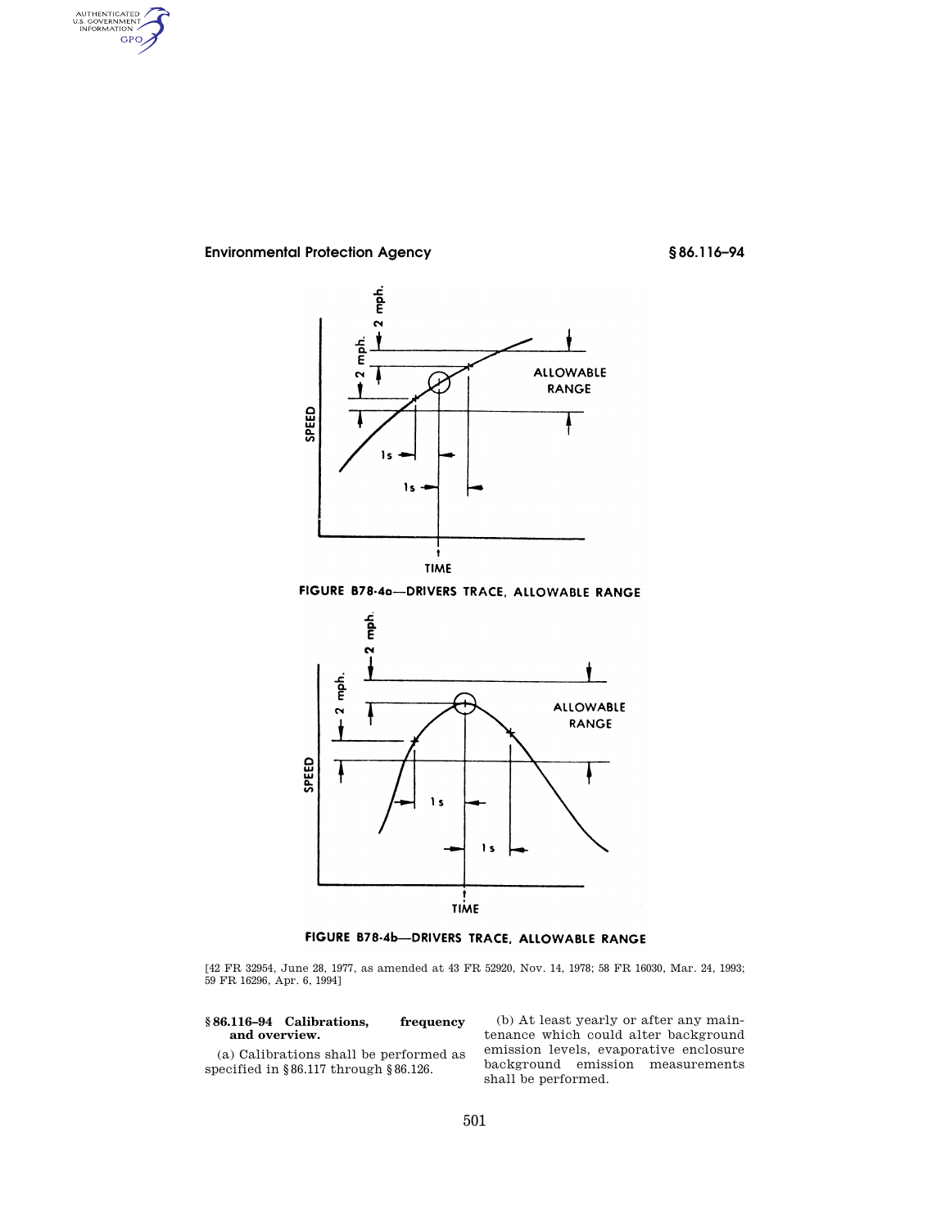AUTHENTICATED<br>U.S. GOVERNMENT<br>INFORMATION **GPO** 

# **Environmental Protection Agency § 86.116–94**



FIGURE B78-4a-DRIVERS TRACE, ALLOWABLE RANGE



FIGURE B78-4b-DRIVERS TRACE, ALLOWABLE RANGE

[42 FR 32954, June 28, 1977, as amended at 43 FR 52920, Nov. 14, 1978; 58 FR 16030, Mar. 24, 1993; 59 FR 16296, Apr. 6, 1994]

## **§ 86.116–94 Calibrations, frequency and overview.**

(a) Calibrations shall be performed as specified in §86.117 through §86.126.

(b) At least yearly or after any maintenance which could alter background emission levels, evaporative enclosure background emission measurements shall be performed.